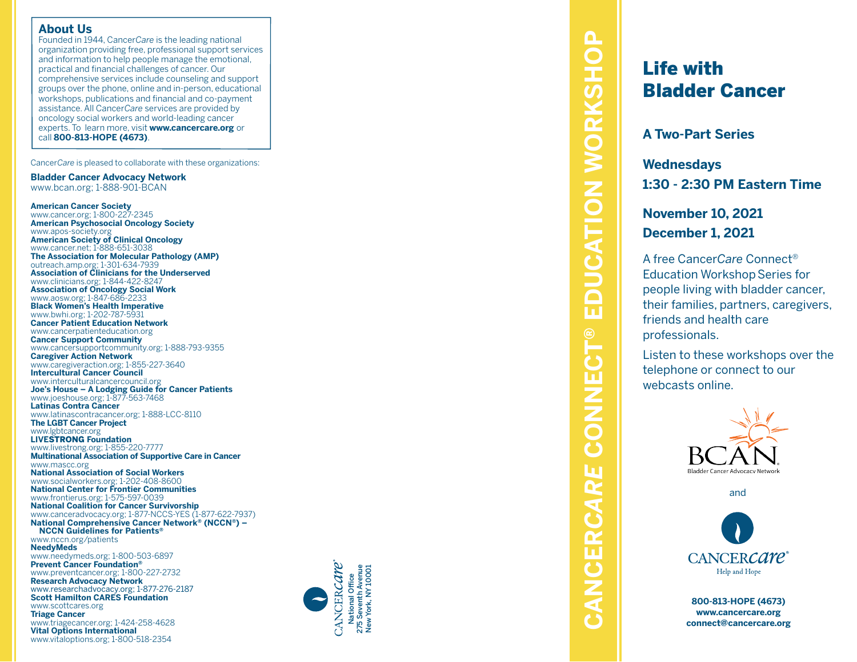#### **About Us**

Founded in 1944, Cancer*Care* is the leading national organization providing free, professional support services and information to help people manage the emotional, practical and financial challenges of cancer. Our comprehensive services include counseling and support groups over the phone, online and in-person, educational workshops, publications and financial and co-payment assistance. All Cancer*Care* services are provided by oncology social workers and world-leading cancer experts. To learn more, visit **www.cancercare.org** or call **800-813-HOPE (4673)** .

Cancer*Care* is pleased to collaborate with these organizations:

**Bladder Cancer Advocacy Network** www.bcan.org; 1-888-901-BCAN

**American Cancer Society** www.cancer.org; 1-800-227-2345 **American Psychosocial Oncology Society** www.apos-society.org **American Society of Clinical Oncology** www.cancer.net; 1-888-651-3038 **The Association for Molecular Pathology (AMP)** outreach.amp.org; 1-301-634-7939 **Association of Clinicians for the Underserved** www.clinicians.org; 1-844-422-8247 **Association of Oncology Social Work** www.aosw.org; 1-847-686-2233 **Black Women's Health Imperative** www.bwhi.org; 1-202-787-5931 **Cancer Patient Education Network** www.cancerpatienteducation.org **Cancer Support Community** www.cancersupportcommunity.org; 1-888-793-9355 **Caregiver Action Network** www.caregiveraction.org; 1-855-227-3640 **Intercultural Cancer Council** www.interculturalcancercouncil.org **Joe's House – A Lodging Guide for Cancer Patients** www.joeshouse.org; 1-877-563-7468 **Latinas Contra Cancer** www.latinascontracancer.org; 1-888-LCC-8110 **The LGBT Cancer Project** www.lgbtcancer.org **LIVE**STRONG **Foundation** www.livestrong.org; 1-855-220-7777 **Multinational Association of Supportive Care in Cancer** www.mascc.org **National Association of Social Workers** www.socialworkers.org; 1-202-408-8600 **National Center for Frontier Communities** www.frontierus.org; 1-575-597-0039 **National Coalition for Cancer Survivorship** www.canceradvocacy.org; 1-877-NCCS-YES (1-877-622-7937) **National Comprehensive Cancer Network ® (NCCN ®) – NCCN Guidelines for Patients ®** www.nccn.org/patients **NeedyMeds** www.needymeds.org; 1-800-503-6897 **Prevent Cancer Foundation ®** www.preventcancer.org; 1-800-227-2732 **Research Advocacy Network** www.researchadvocacy.org; 1-877-276-2187 **Scott Hamilton CARES Foundation** www.scottcares.org **Triage Cancer** www.triagecancer.org; 1-424-258-4628 **Vital Options International** www.vitaloptions.org; 1-800-518-2354



**CONNECT® EDUCATION WORKSHOP CANCER***CARE* **CONNECT® EDUCATION WORKSHOP** CANCERCARE

# Life with Bladder Cancer

**A Two-Part Series**

**Wednesdays 1:30 - 2:30 PM Eastern Time**

**November 10, 2021 December 1, 2021**

A free Cancer*Care* Connect ® **Education Workshop Series for** people living with bladder cancer, their families, partners, caregivers, friends and health care professionals.

Listen to these workshops over the telephone or connect to our webcasts online.



and



**800-813-HOPE (4673) www.cancercare.org connect@cancercare.org**